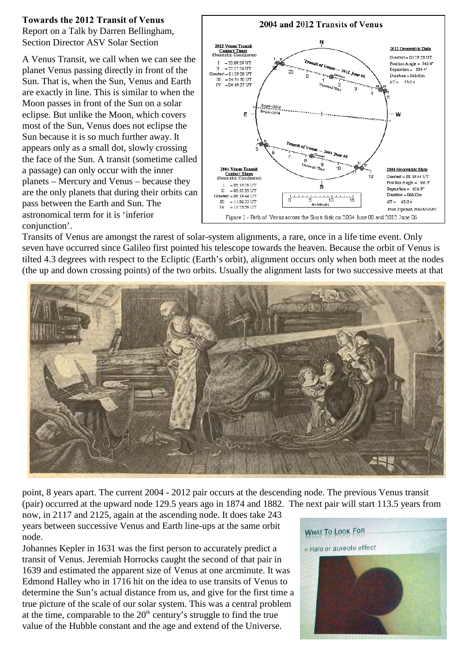## **Towards the 2012 Transit of Venus**

Report on a Talk by Darren Bellingham, Section Director ASV Solar Section

A Venus Transit, we call when we can see the planet Venus passing directly in front of the Sun. That is, when the Sun, Venus and Earth are exactly in line. This is similar to when the Moon passes in front of the Sun on a solar eclipse. But unlike the Moon, which covers most of the Sun, Venus does not eclipse the Sun because it is so much further away. It appears only as a small dot, slowly crossing the face of the Sun. A transit (sometime called a passage) can only occur with the inner planets – Mercury and Venus – because they are the only planets that during their orbits can pass between the Earth and Sun. The astronomical term for it is 'inferior conjunction'.



Transits of Venus are amongst the rarest of solar-system alignments, a rare, once in a life time event. Only seven have occurred since Galileo first pointed his telescope towards the heaven. Because the orbit of Venus is tilted 4.3 degrees with respect to the Ecliptic (Earth's orbit), alignment occurs only when both meet at the nodes (the up and down crossing points) of the two orbits. Usually the alignment lasts for two successive meets at that



point, 8 years apart. The current 2004 - 2012 pair occurs at the descending node. The previous Venus transit (pair) occurred at the upward node 129.5 years ago in 1874 and 1882. The next pair will start 113.5 years from

now, in 2117 and 2125, again at the ascending node. It does take 243 years between successive Venus and Earth line-ups at the same orbit node.

Johannes Kepler in 1631 was the first person to accurately predict a transit of Venus. Jeremiah Horrocks caught the second of that pair in 1639 and estimated the apparent size of Venus at one arcminute. It was Edmond Halley who in 1716 hit on the idea to use transits of Venus to determine the Sun's actual distance from us, and give for the first time a true picture of the scale of our solar system. This was a central problem at the time, comparable to the  $20<sup>th</sup>$  century's struggle to find the true value of the Hubble constant and the age and extend of the Universe.